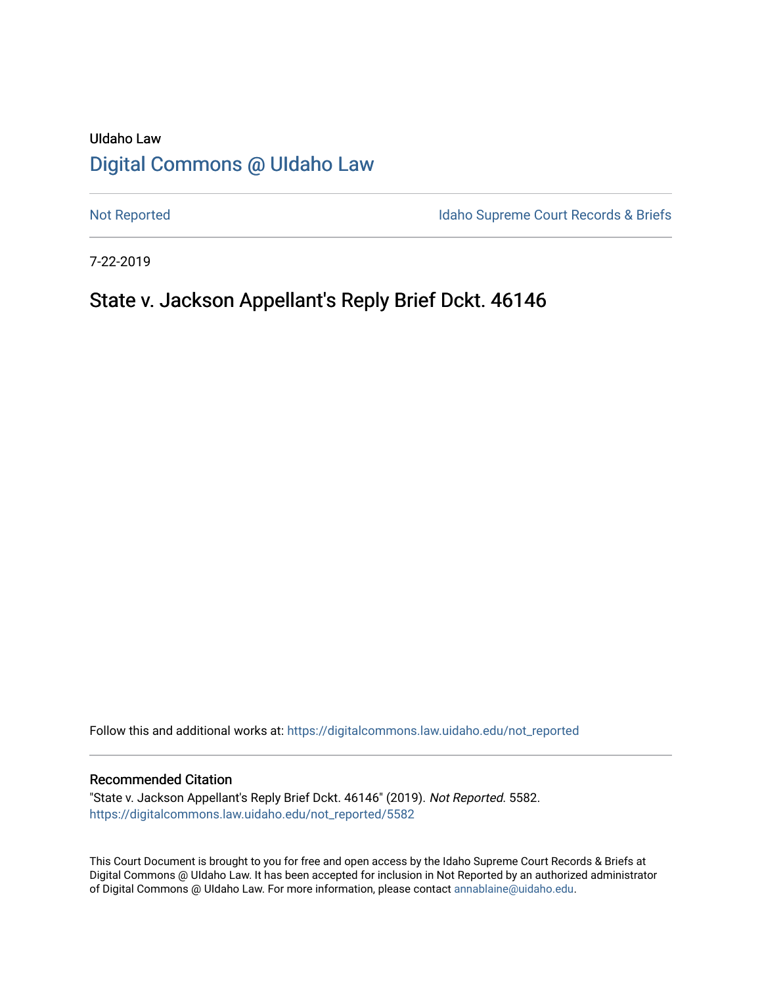# UIdaho Law [Digital Commons @ UIdaho Law](https://digitalcommons.law.uidaho.edu/)

[Not Reported](https://digitalcommons.law.uidaho.edu/not_reported) **Idaho Supreme Court Records & Briefs** 

7-22-2019

# State v. Jackson Appellant's Reply Brief Dckt. 46146

Follow this and additional works at: [https://digitalcommons.law.uidaho.edu/not\\_reported](https://digitalcommons.law.uidaho.edu/not_reported?utm_source=digitalcommons.law.uidaho.edu%2Fnot_reported%2F5582&utm_medium=PDF&utm_campaign=PDFCoverPages) 

#### Recommended Citation

"State v. Jackson Appellant's Reply Brief Dckt. 46146" (2019). Not Reported. 5582. [https://digitalcommons.law.uidaho.edu/not\\_reported/5582](https://digitalcommons.law.uidaho.edu/not_reported/5582?utm_source=digitalcommons.law.uidaho.edu%2Fnot_reported%2F5582&utm_medium=PDF&utm_campaign=PDFCoverPages)

This Court Document is brought to you for free and open access by the Idaho Supreme Court Records & Briefs at Digital Commons @ UIdaho Law. It has been accepted for inclusion in Not Reported by an authorized administrator of Digital Commons @ UIdaho Law. For more information, please contact [annablaine@uidaho.edu](mailto:annablaine@uidaho.edu).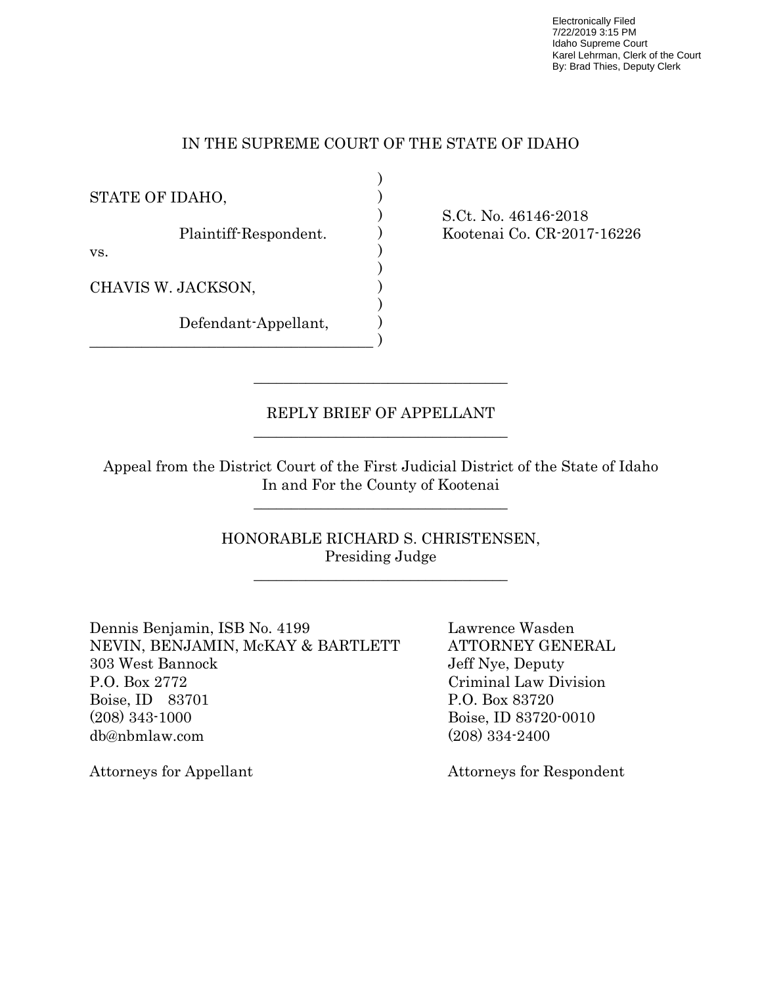Electronically Filed 7/22/2019 3:15 PM Idaho Supreme Court Karel Lehrman, Clerk of the Court By: Brad Thies, Deputy Clerk

### IN THE SUPREME COURT OF THE STATE OF IDAHO

) ) ) ) ) ) ) ) ) )

STATE OF IDAHO,

Plaintiff-Respondent.

vs.

CHAVIS W. JACKSON,

Defendant-Appellant,

 $\mathcal{L}_\text{max}$  and  $\mathcal{L}_\text{max}$  and  $\mathcal{L}_\text{max}$  and  $\mathcal{L}_\text{max}$  and  $\mathcal{L}_\text{max}$ 

 $\mathcal{L}_\text{max}$  and  $\mathcal{L}_\text{max}$  and  $\mathcal{L}_\text{max}$  and  $\mathcal{L}_\text{max}$  and  $\mathcal{L}_\text{max}$ 

\_\_\_\_\_\_\_\_\_\_\_\_\_\_\_\_\_\_\_\_\_\_\_\_\_\_\_\_\_\_\_\_\_\_\_\_\_\_

S.Ct. No. 46146-2018 Kootenai Co. CR-2017-16226

### REPLY BRIEF OF APPELLANT

 $\mathcal{L}=\frac{1}{2}\left\{ \mathcal{L}_{\mathcal{L}}\right\}$  , where  $\mathcal{L}_{\mathcal{L}}$  , we have the set of  $\mathcal{L}_{\mathcal{L}}$ 

 Appeal from the District Court of the First Judicial District of the State of Idaho In and For the County of Kootenai

\_\_\_\_\_\_\_\_\_\_\_\_\_\_\_\_\_\_\_\_\_\_\_\_\_\_\_\_\_\_\_\_\_\_

 HONORABLE RICHARD S. CHRISTENSEN, Presiding Judge

Dennis Benjamin, ISB No. 4199 Lawrence Wasden NEVIN, BENJAMIN, McKAY & BARTLETT ATTORNEY GENERAL 303 West Bannock Jeff Nye, Deputy P.O. Box 2772 Criminal Law Division Boise, ID 83701 P.O. Box 83720 (208) 343-1000 Boise, ID 83720-0010 db@nbmlaw.com (208) 334-2400

Attorneys for Appellant Attorneys for Respondent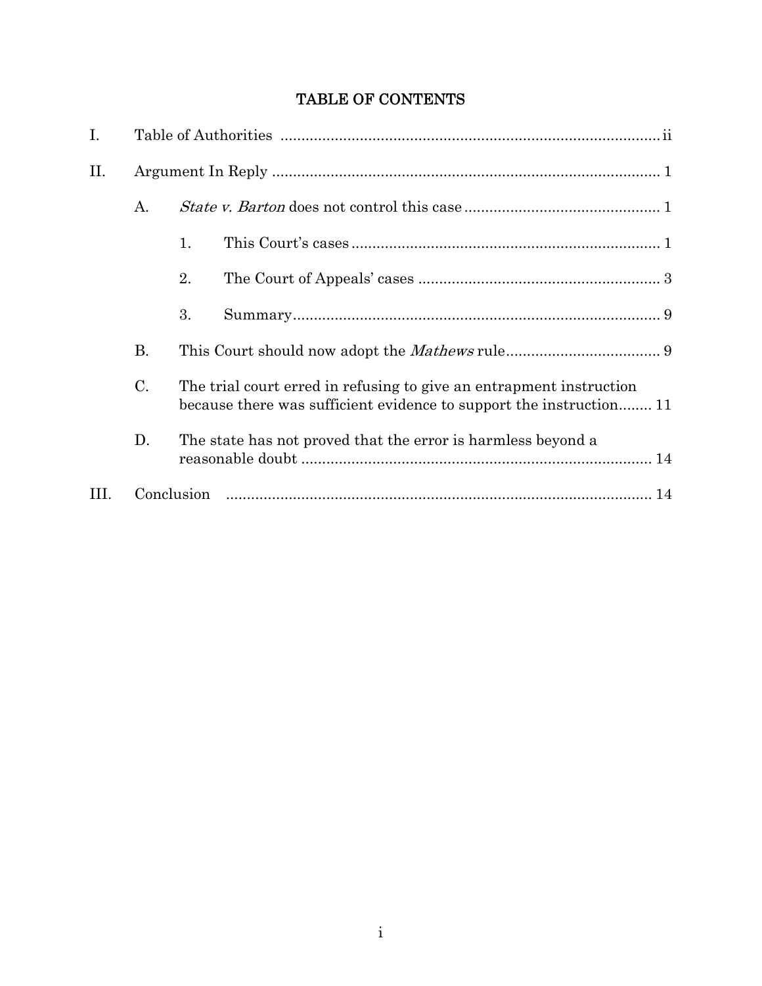# TABLE OF CONTENTS

| I.   |           |                                                                                                                                            |  |  |  |
|------|-----------|--------------------------------------------------------------------------------------------------------------------------------------------|--|--|--|
| II.  |           |                                                                                                                                            |  |  |  |
|      | A.        |                                                                                                                                            |  |  |  |
|      |           | 1.                                                                                                                                         |  |  |  |
|      |           | 2.                                                                                                                                         |  |  |  |
|      |           | 3.                                                                                                                                         |  |  |  |
|      | <b>B.</b> |                                                                                                                                            |  |  |  |
|      | C.        | The trial court erred in refusing to give an entrapment instruction<br>because there was sufficient evidence to support the instruction 11 |  |  |  |
|      | D.        | The state has not proved that the error is harmless beyond a                                                                               |  |  |  |
| III. |           | Conclusion                                                                                                                                 |  |  |  |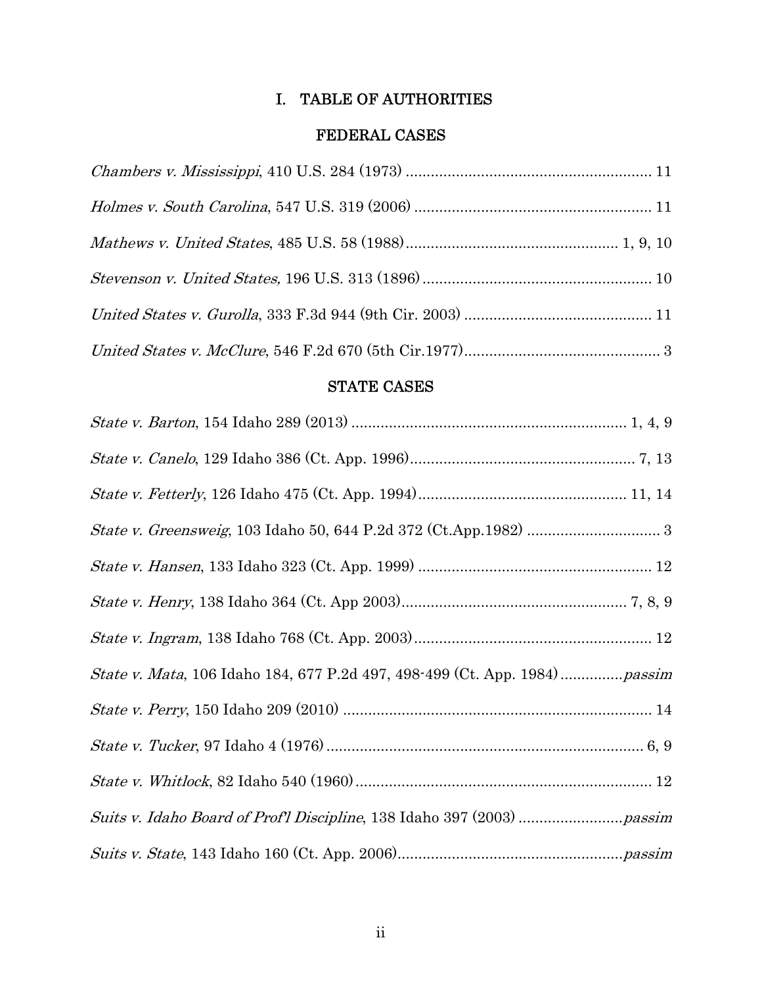## I. TABLE OF AUTHORITIES

### FEDERAL CASES

## STATE CASES

| <i>State v. Mata</i> , 106 Idaho 184, 677 P.2d 497, 498-499 (Ct. App. 1984) <i>passim</i> |
|-------------------------------------------------------------------------------------------|
|                                                                                           |
|                                                                                           |
|                                                                                           |
|                                                                                           |
|                                                                                           |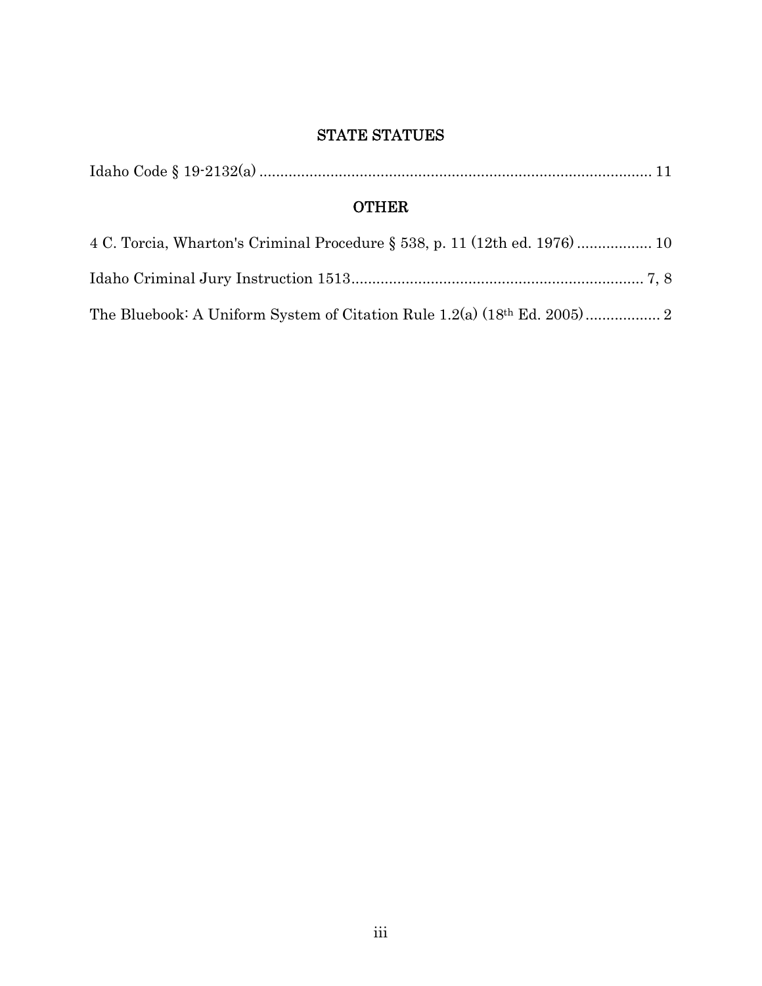## STATE STATUES

|--|--|--|

# **OTHER**

| 4 C. Torcia, Wharton's Criminal Procedure § 538, p. 11 (12th ed. 1976)  10 |  |
|----------------------------------------------------------------------------|--|
|                                                                            |  |
|                                                                            |  |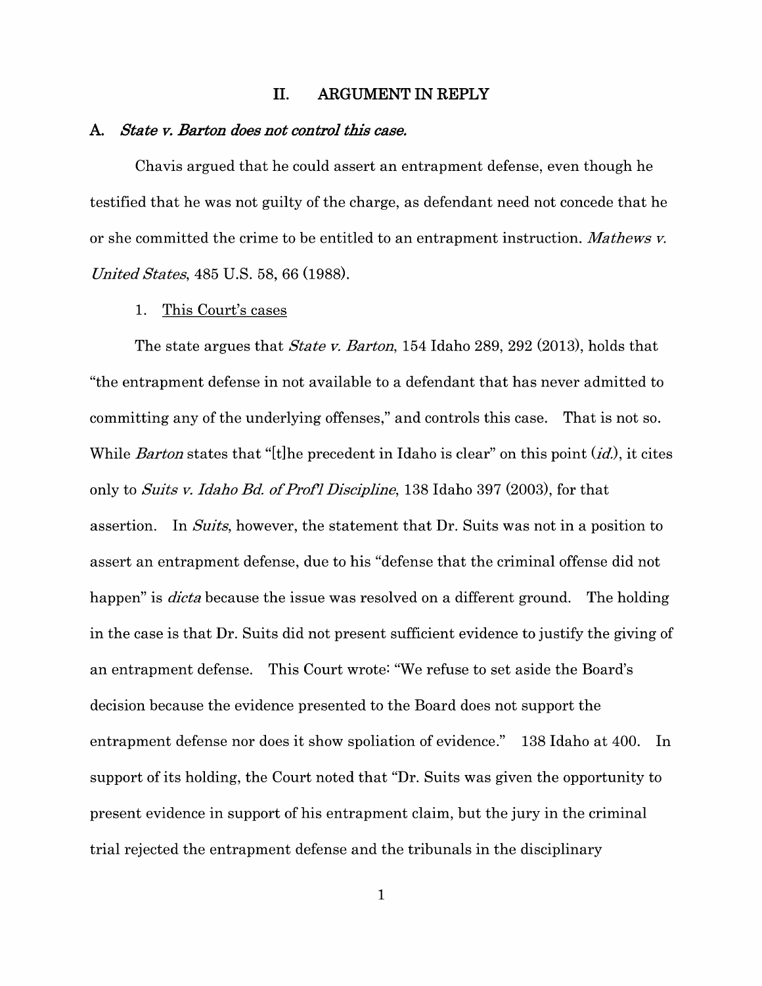#### **II. ARGUMENT IN REPLY**

#### **A.** *State v. Barton does not control this case.*

Chavis argued that he could assert an entrapment defense, even though he testified that he was not guilty of the charge, as defendant need not concede that he or she committed the crime to be entitled to an entrapment instruction. *Mathews v. United States,* 485 U.S. 58, 66 (1988).

#### 1. This Court's cases

The state argues that *State v. Barton,* 154 Idaho 289, 292 (2013), holds that "the entrapment defense in not available to a defendant that has never admitted to committing any of the underlying offenses," and controls this case. That is not so. While *Barton* states that "[t]he precedent in Idaho is clear" on this point (*id*.), it cites only to *Suits v. Idaho Bd. of Prof'] Discipline,* 138 Idaho 397 (2003), for that assertion. In *Suits,* however, the statement that Dr. Suits was not in a position to assert an entrapment defense, due to his "defense that the criminal offense did not happen" is *dicta* because the issue was resolved on a different ground. The holding in the case is that Dr. Suits did not present sufficient evidence to justify the giving of an entrapment defense. This Court wrote: "We refuse to set aside the Board's decision because the evidence presented to the Board does not support the entrapment defense nor does it show spoliation of evidence." 138 Idaho at 400. In support of its holding, the Court noted that "Dr. Suits was given the opportunity to present evidence in support of his entrapment claim, but the jury in the criminal trial rejected the entrapment defense and the tribunals in the disciplinary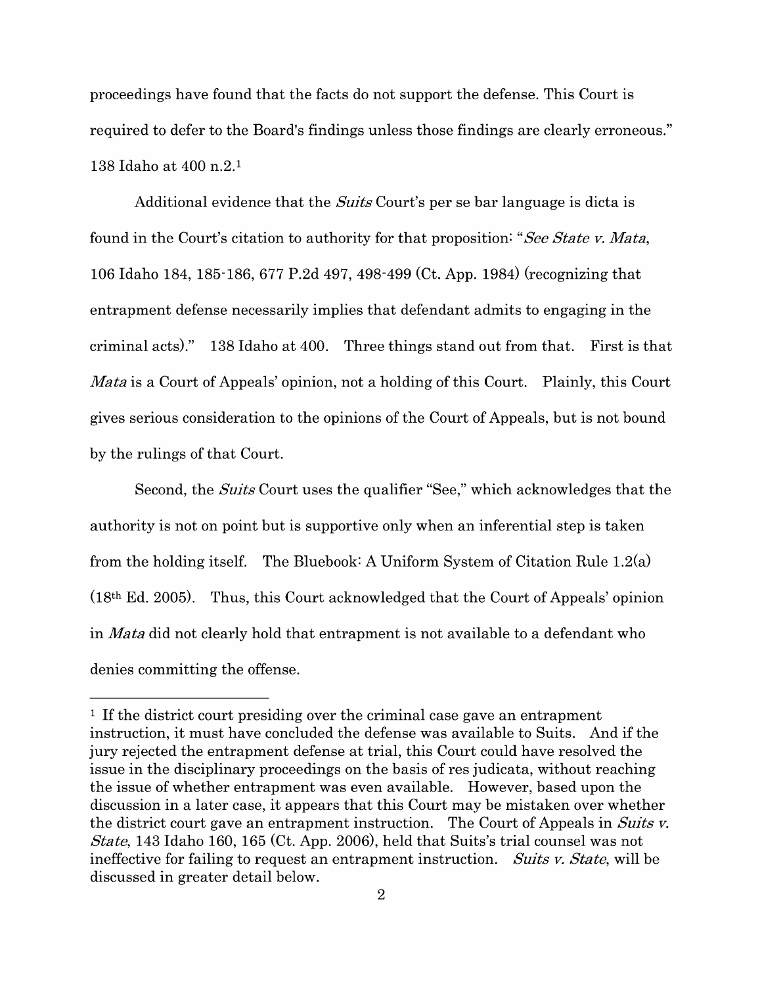proceedings have found that the facts do not support the defense. This Court is required to defer to the Board's findings unless those findings are clearly erroneous." 138 Idaho at 400 n.2. <sup>1</sup>

Additional evidence that the *Suits* Court's per se bar language is dicta is found in the Court's citation to authority for that proposition: *"See State v. Mata,*  106 Idaho 184, 185-186, 677 P.2d 497, 498-499 (Ct. App. 1984) (recognizing that entrapment defense necessarily implies that defendant admits to engaging in the criminal acts)." 138 Idaho at 400. Three things stand out from that. First is that *Mata* is a Court of Appeals' opinion, not a holding of this Court. Plainly, this Court gives serious consideration to the opinions of the Court of Appeals, but is not bound by the rulings of that Court.

Second, the *Suits* Court uses the qualifier "See," which acknowledges that the authority is not on point but is supportive only when an inferential step is taken from the holding itself. The Bluebook: A Uniform System of Citation Rule  $1.2(a)$ (18th Ed. 2005). Thus, this Court acknowledged that the Court of Appeals' opinion in *Mata* did not clearly hold that entrapment is not available to a defendant who denies committing the offense.

<sup>1</sup> If the district court presiding over the criminal case gave an entrapment instruction, it must have concluded the defense was available to Suits. And if the jury rejected the entrapment defense at trial, this Court could have resolved the issue in the disciplinary proceedings on the basis of res judicata, without reaching the issue of whether entrapment was even available. However, based upon the discussion in a later case, it appears that this Court may be mistaken over whether the district court gave an entrapment instruction. The Court of Appeals in *Suits v. State,* 143 Idaho 160, 165 (Ct. App. 2006), held that Suits's trial counsel was not ineffective for failing to request an entrapment instruction. *Suits v. State,* will be discussed in greater detail below.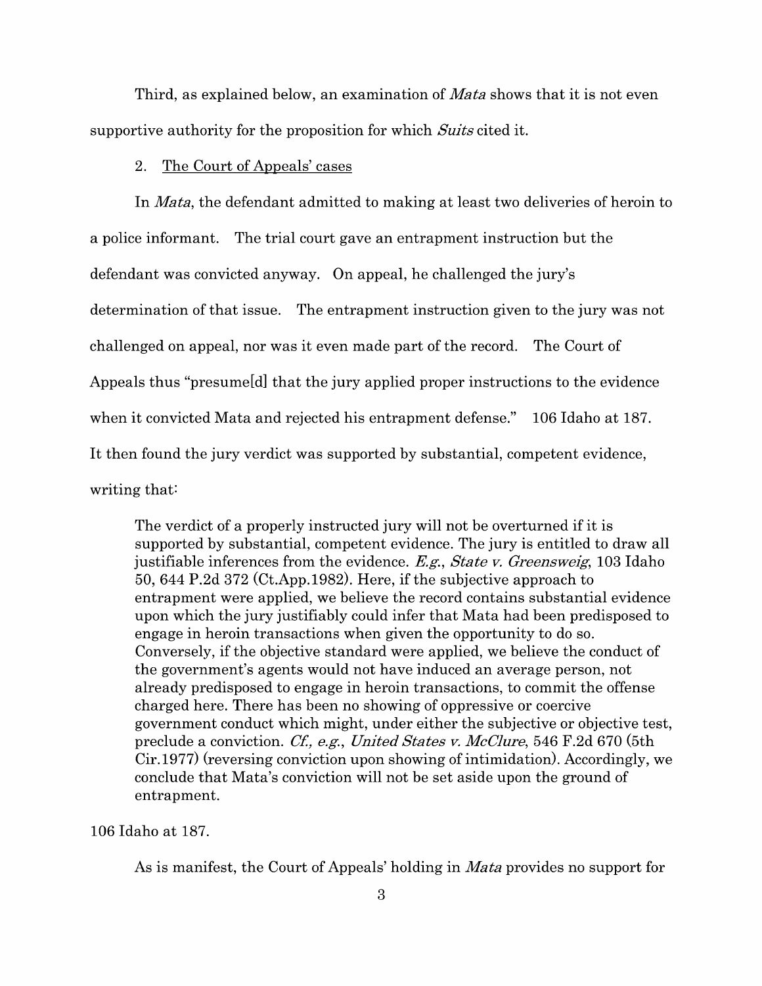Third, as explained below, an examination of *Mata* shows that it is not even supportive authority for the proposition for which *Suits* cited it.

#### 2. The Court of Appeals' cases

In *Mata,* the defendant admitted to making at least two deliveries of heroin to a police informant. The trial court gave an entrapment instruction but the defendant was convicted anyway. On appeal, he challenged the jury's determination of that issue. The entrapment instruction given to the jury was not challenged on appeal, nor was it even made part of the record. The Court of Appeals thus "presume[d] that the jury applied proper instructions to the evidence when it convicted Mata and rejected his entrapment defense." 106 Idaho at 187. It then found the jury verdict was supported by substantial, competent evidence, writing that:

The verdict of a properly instructed jury will not be overturned if it is supported by substantial, competent evidence. The jury is entitled to draw all justifiable inferences from the evidence. *E.g., State v. Greensweig,* 103 Idaho 50, 644 P.2d 372 (Ct.App.1982). Here, if the subjective approach to entrapment were applied, we believe the record contains substantial evidence upon which the jury justifiably could infer that Mata had been predisposed to engage in heroin transactions when given the opportunity to do so. Conversely, if the objective standard were applied, we believe the conduct of the government's agents would not have induced an average person, not already predisposed to engage in heroin transactions, to commit the offense charged here. There has been no showing of oppressive or coercive government conduct which might, under either the subjective or objective test, preclude a conviction. *Cf, e.g., United States v. McClure,* 546 F.2d 670 (5th Cir.1977) (reversing conviction upon showing of intimidation). Accordingly, we conclude that Mata's conviction will not be set aside upon the ground of entrapment.

106 Idaho at 187.

As is manifest, the Court of Appeals' holding in *Mata* provides no support for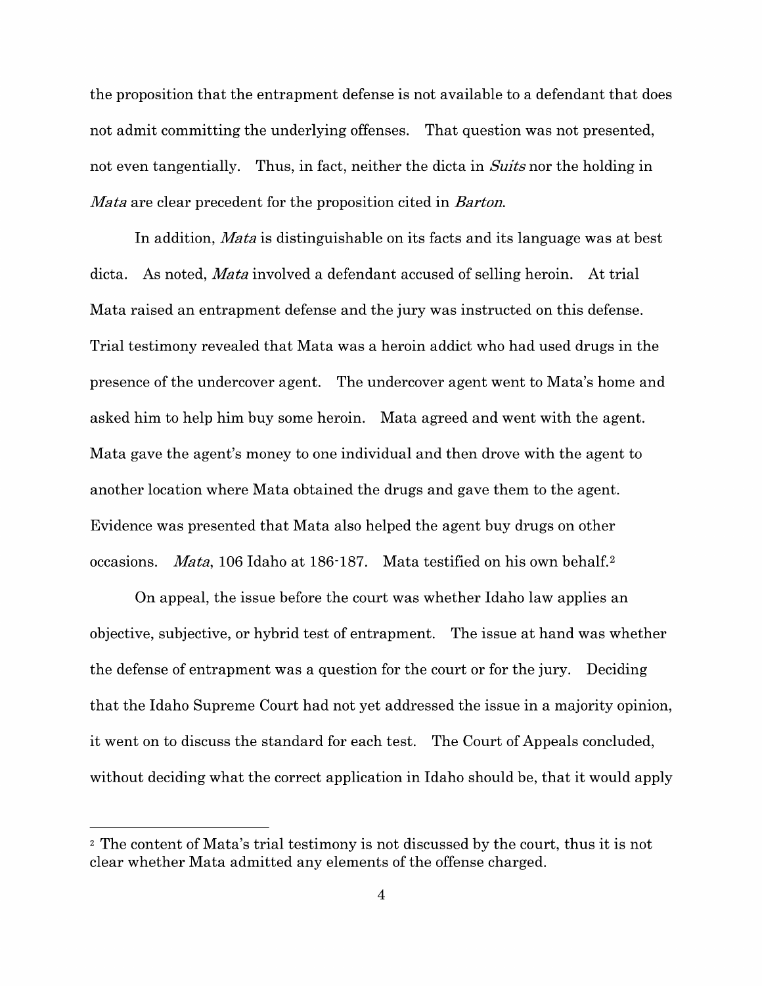the proposition that the entrapment defense is not available to a defendant that does not admit committing the underlying offenses. That question was not presented, not even tangentially. Thus, in fact, neither the dicta in *Suits* nor the holding in *Mata* are clear precedent for the proposition cited in *Barton.* 

In addition, *Mata* is distinguishable on its facts and its language was at best dicta. As noted, *Mata* involved a defendant accused of selling heroin. At trial Mata raised an entrapment defense and the jury was instructed on this defense. Trial testimony revealed that Mata was a heroin addict who had used drugs in the presence of the undercover agent. The undercover agent went to Mata's home and asked him to help him buy some heroin. Mata agreed and went with the agent. Mata gave the agent's money to one individual and then drove with the agent to another location where Mata obtained the drugs and gave them to the agent. Evidence was presented that Mata also helped the agent buy drugs on other occasions. *Mata*, 106 Idaho at 186-187. Mata testified on his own behalf.<sup>2</sup>

On appeal, the issue before the court was whether Idaho law applies an objective, subjective, or hybrid test of entrapment. The issue at hand was whether the defense of entrapment was a question for the court or for the jury. Deciding that the Idaho Supreme Court had not yet addressed the issue in a majority opinion, it went on to discuss the standard for each test. The Court of Appeals concluded, without deciding what the correct application in Idaho should be, that it would apply

<sup>&</sup>lt;sup>2</sup> The content of Mata's trial testimony is not discussed by the court, thus it is not clear whether Mata admitted any elements of the offense charged.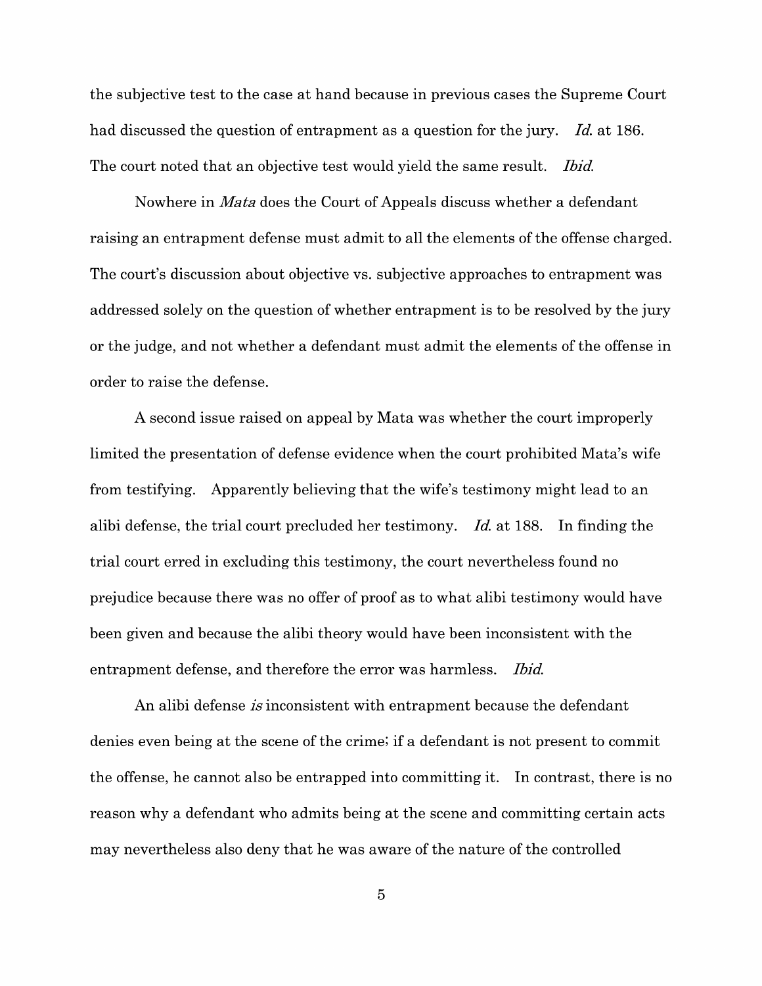the subjective test to the case at hand because in previous cases the Supreme Court had discussed the question of entrapment as a question for the jury. *Id.* at 186. The court noted that an objective test would yield the same result. *Ibid.* 

Nowhere in *Mata* does the Court of Appeals discuss whether a defendant raising an entrapment defense must admit to all the elements of the offense charged. The court's discussion about objective vs. subjective approaches to entrapment was addressed solely on the question of whether entrapment is to be resolved by the jury or the judge, and not whether a defendant must admit the elements of the offense in order to raise the defense.

A second issue raised on appeal by Mata was whether the court improperly limited the presentation of defense evidence when the court prohibited Mata's wife from testifying. Apparently believing that the wife's testimony might lead to an alibi defense, the trial court precluded her testimony. *Id.* at 188. In finding the trial court erred in excluding this testimony, the court nevertheless found no prejudice because there was no offer of proof as to what alibi testimony would have been given and because the alibi theory would have been inconsistent with the entrapment defense, and therefore the error was harmless. *Ibid.* 

An alibi defense *is* inconsistent with entrapment because the defendant denies even being at the scene of the crime; if a defendant is not present to commit the offense, he cannot also be entrapped into committing it. In contrast, there is no reason why a defendant who admits being at the scene and committing certain acts may nevertheless also deny that he was aware of the nature of the controlled

5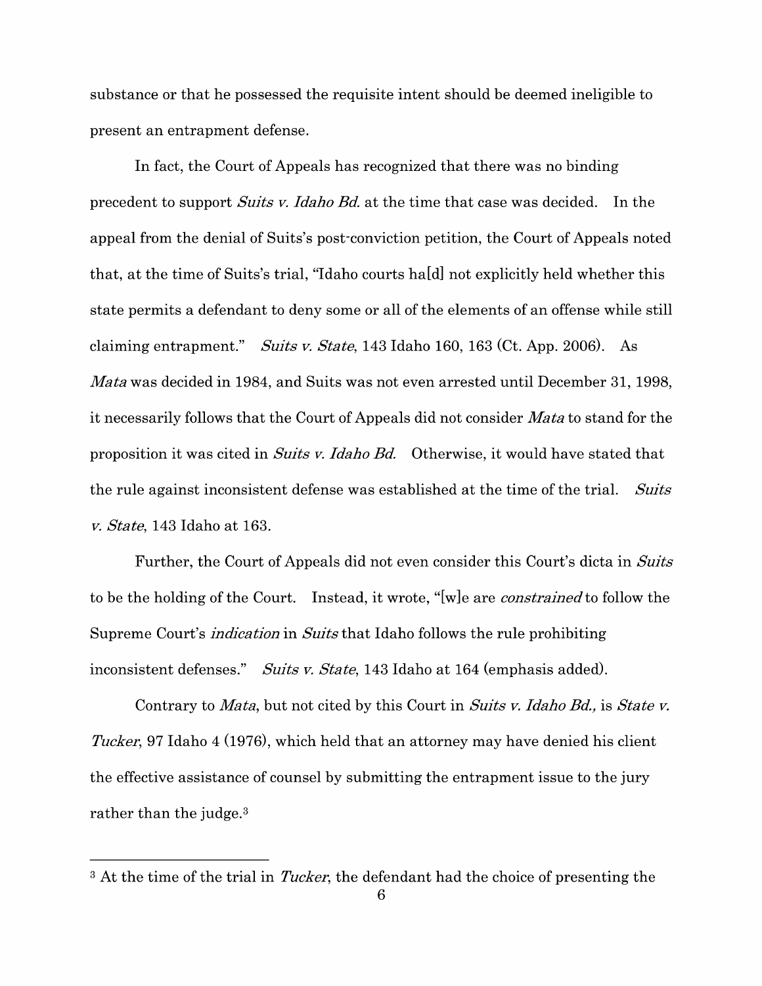substance or that he possessed the requisite intent should be deemed ineligible to present an entrapment defense.

In fact, the Court of Appeals has recognized that there was no binding precedent to support *Suits v. Idaho Bd.* at the time that case was decided. In the appeal from the denial of Suits's post-conviction petition, the Court of Appeals noted that, at the time of Suits's trial, "Idaho courts ha[d] not explicitly held whether this state permits a defendant to deny some or all of the elements of an offense while still claiming entrapment." *Suits v. State,* 143 Idaho 160, 163 (Ct. App. 2006). As *Mata* was decided in 1984, and Suits was not even arrested until December 31, 1998, it necessarily follows that the Court of Appeals did not consider *Mata* to stand for the proposition it was cited in *Suits v. Idaho Bd.* Otherwise, it would have stated that the rule against inconsistent defense was established at the time of the trial. *Suits v. State,* 143 Idaho at 163.

Further, the Court of Appeals did not even consider this Court's dicta in *Suits*  to be the holding of the Court. Instead, it wrote, "[w]e are *constrained* to follow the Supreme Court's *indication* in *Suits* that Idaho follows the rule prohibiting inconsistent defenses." *Suits v. State,* 143 Idaho at 164 (emphasis added).

Contrary to *Mata,* but not cited by this Court in *Suits v. Idaho Bd.,* is *State v. Tucker,* 97 Idaho 4 (1976), which held that an attorney may have denied his client the effective assistance of counsel by submitting the entrapment issue to the jury rather than the judge.<sup>3</sup>

<sup>&</sup>lt;sup>3</sup> At the time of the trial in *Tucker*, the defendant had the choice of presenting the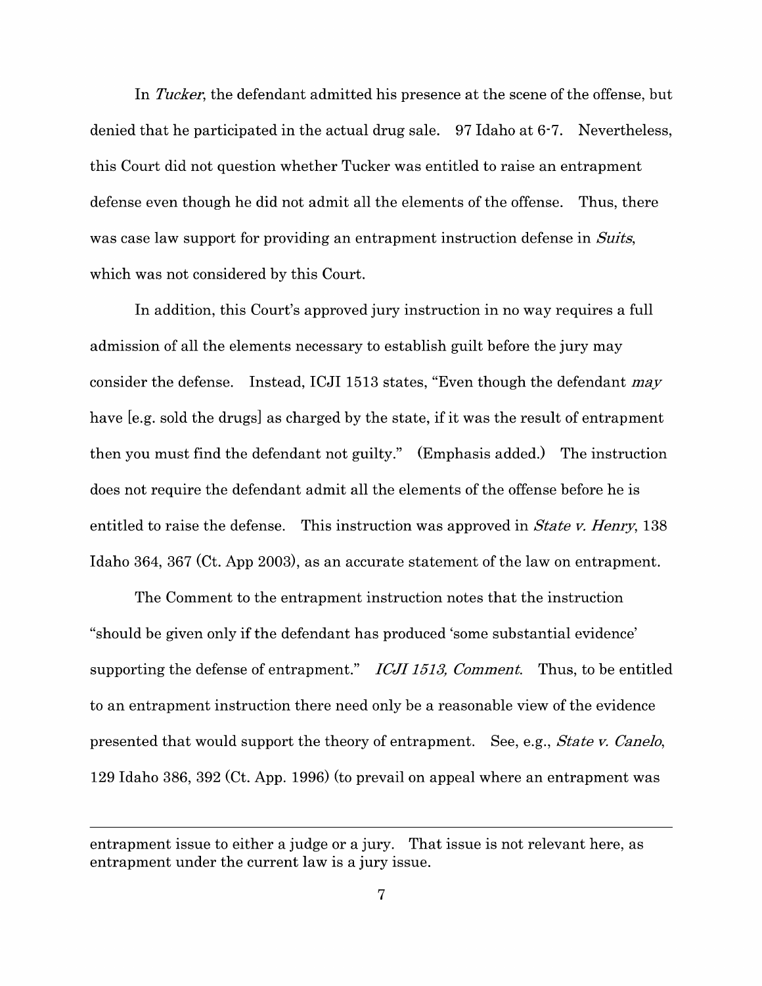In *Tucker,* the defendant admitted his presence at the scene of the offense, but denied that he participated in the actual drug sale. 97 Idaho at 6-7. Nevertheless, this Court did not question whether Tucker was entitled to raise an entrapment defense even though he did not admit all the elements of the offense. Thus, there was case law support for providing an entrapment instruction defense in *Suits,*  which was not considered by this Court.

In addition, this Court's approved jury instruction in no way requires a full admission of all the elements necessary to establish guilt before the jury may consider the defense. Instead, ICJI 1513 states, "Even though the defendant *may*  have [e.g. sold the drugs] as charged by the state, if it was the result of entrapment then you must find the defendant not guilty." (Emphasis added.) The instruction does not require the defendant admit all the elements of the offense before he is entitled to raise the defense. This instruction was approved in *State v. Henry,* 138 Idaho 364, 367 (Ct. App 2003), as an accurate statement of the law on entrapment.

The Comment to the entrapment instruction notes that the instruction "should be given only if the defendant has produced 'some substantial evidence' supporting the defense of entrapment." *ICJI 1513, Comment.* Thus, to be entitled to an entrapment instruction there need only be a reasonable view of the evidence presented that would support the theory of entrapment. See, e.g., *State v. Canelo,*  129 Idaho 386, 392 (Ct. App. 1996) (to prevail on appeal where an entrapment was

entrapment issue to either a judge or a jury. That issue is not relevant here, as entrapment under the current law is a jury issue.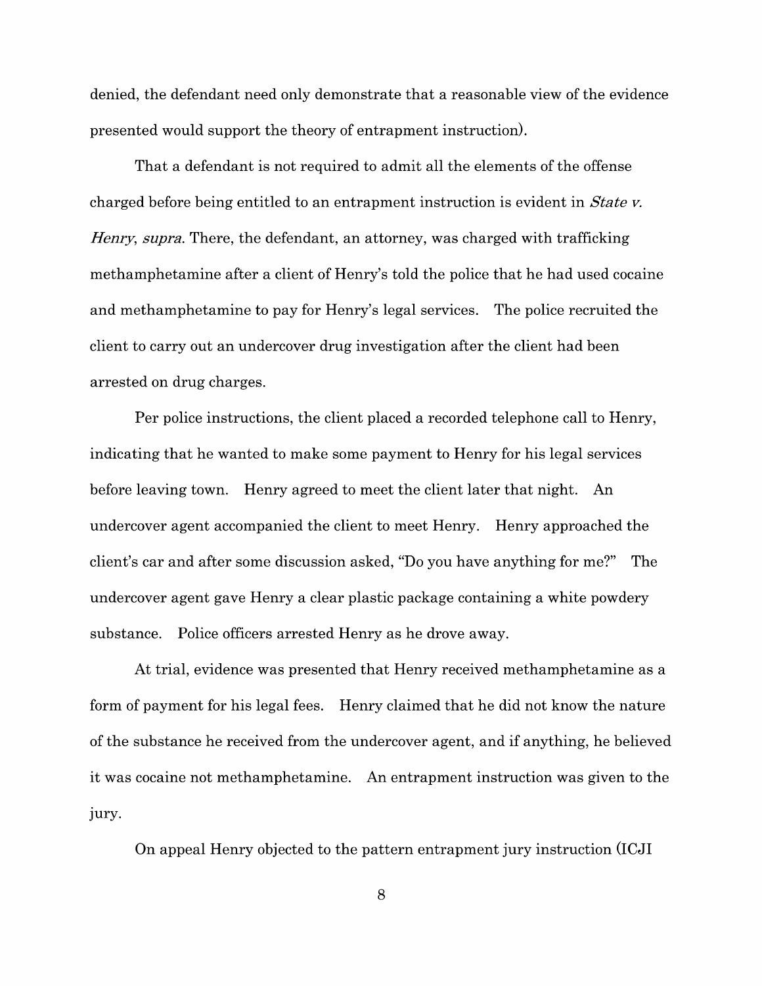denied, the defendant need only demonstrate that a reasonable view of the evidence presented would support the theory of entrapment instruction).

That a defendant is not required to admit all the elements of the offense charged before being entitled to an entrapment instruction is evident in *State v. Henry, supra.* There, the defendant, an attorney, was charged with trafficking methamphetamine after a client of Henry's told the police that he had used cocaine and methamphetamine to pay for Henry's legal services. The police recruited the client to carry out an undercover drug investigation after the client had been arrested on drug charges.

Per police instructions, the client placed a recorded telephone call to Henry, indicating that he wanted to make some payment to Henry for his legal services before leaving town. Henry agreed to meet the client later that night. An undercover agent accompanied the client to meet Henry. Henry approached the client's car and after some discussion asked, "Do you have anything for me?" The undercover agent gave Henry a clear plastic package containing a white powdery substance. Police officers arrested Henry as he drove away.

At trial, evidence was presented that Henry received methamphetamine as a form of payment for his legal fees. Henry claimed that he did not know the nature of the substance he received from the undercover agent, and if anything, he believed it was cocaine not methamphetamine. An entrapment instruction was given to the Jury.

On appeal Henry objected to the pattern entrapment jury instruction (ICJI

8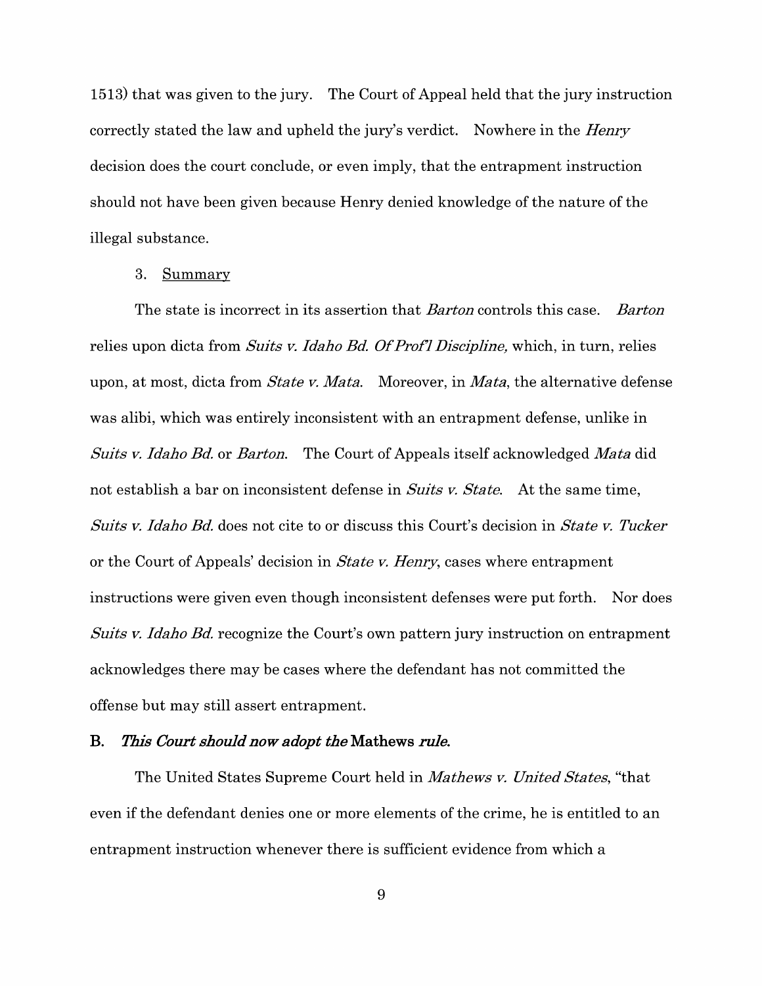1513) that was given to the jury. The Court of Appeal held that the jury instruction correctly stated the law and upheld the jury's verdict. Nowhere in the *Henry*  decision does the court conclude, or even imply, that the entrapment instruction should not have been given because Henry denied knowledge of the nature of the illegal substance.

#### 3. Summary

The state is incorrect in its assertion that *Barton* controls this case. *Barton*  relies upon dicta from *Suits v. Idaho Bd.* Of *Prof] Discipline,* which, in turn, relies upon, at most, dicta from *State v. Mata.* Moreover, in *Mata,* the alternative defense was alibi, which was entirely inconsistent with an entrapment defense, unlike in *Suits v. Idaho Bd.* or *Barton.* The Court of Appeals itself acknowledged *Mata* did not establish a bar on inconsistent defense in *Suits v. State.* At the same time, *Suits v. Idaho Bd.* does not cite to or discuss this Court's decision in *State v. Tucker*  or the Court of Appeals' decision in *State v. Henry,* cases where entrapment instructions were given even though inconsistent defenses were put forth. Nor does *Suits v. Idaho Bd.* recognize the Court's own pattern jury instruction on entrapment acknowledges there may be cases where the defendant has not committed the offense but may still assert entrapment.

#### **B.** *This Court should now adopt the* **Mathews** *rule.*

The United States Supreme Court held in *Mathews v. United States,* "that even if the defendant denies one or more elements of the crime, he is entitled to an entrapment instruction whenever there is sufficient evidence from which a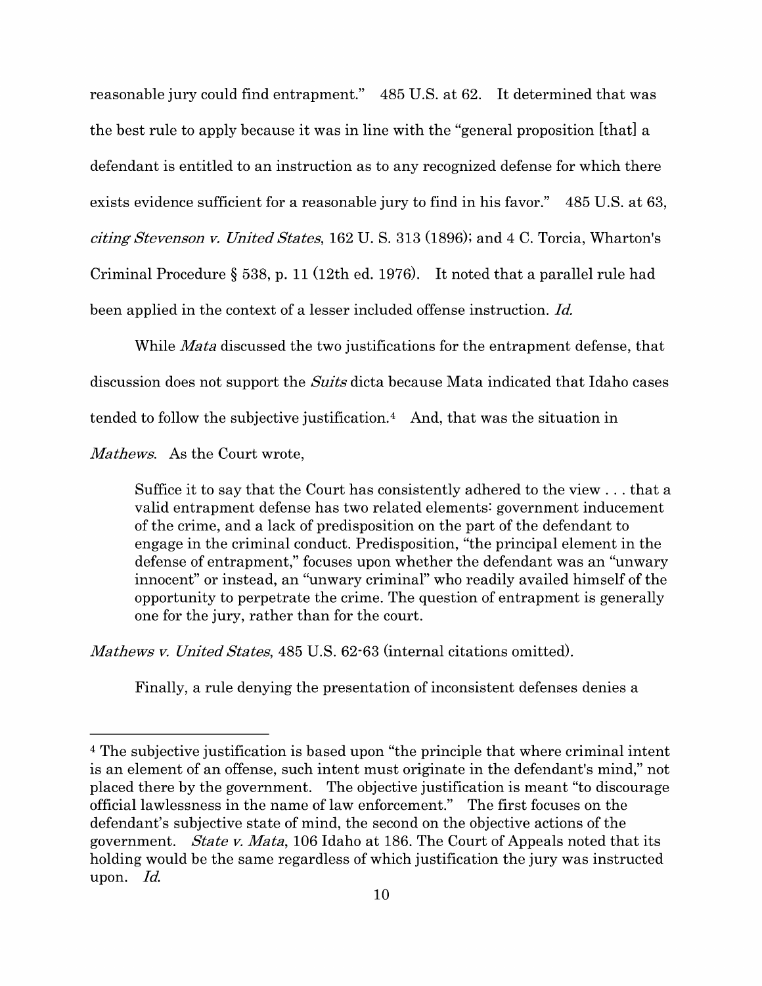reasonable jury could find entrapment." 485 U.S. at 62. It determined that was the best rule to apply because it was in line with the "general proposition [that] a defendant is entitled to an instruction as to any recognized defense for which there exists evidence sufficient for a reasonable jury to find in his favor." 485 U.S. at 63, *citing Stevenson v. United States,* 162 U.S. 313 (1896); and 4 C. Torcia, Wharton's Criminal Procedure § 538, p. 11 (12th ed. 1976). It noted that a parallel rule had been applied in the context of a lesser included offense instruction. *Id.* 

While *Mata* discussed the two justifications for the entrapment defense, that discussion does not support the *Suits* dicta because Mata indicated that Idaho cases tended to follow the subjective justification.<sup>4</sup> And, that was the situation in

*Mathews.* As the Court wrote,

Suffice it to say that the Court has consistently adhered to the view ... that a valid entrapment defense has two related elements: government inducement of the crime, and a lack of predisposition on the part of the defendant to engage in the criminal conduct. Predisposition, "the principal element in the defense of entrapment," focuses upon whether the defendant was an "unwary innocent" or instead, an "unwary criminal" who readily availed himself of the opportunity to perpetrate the crime. The question of entrapment is generally one for the jury, rather than for the court.

*Mathews v. United States,* 485 U.S. 62-63 (internal citations omitted).

Finally, a rule denying the presentation of inconsistent defenses denies a

<sup>4</sup>The subjective justification is based upon "the principle that where criminal intent is an element of an offense, such intent must originate in the defendant's mind," not placed there by the government. The objective justification is meant "to discourage official lawlessness in the name of law enforcement." The first focuses on the defendant's subjective state of mind, the second on the objective actions of the government. *State v. Mata,* 106 Idaho at 186. The Court of Appeals noted that its holding would be the same regardless of which justification the jury was instructed upon. *Id.*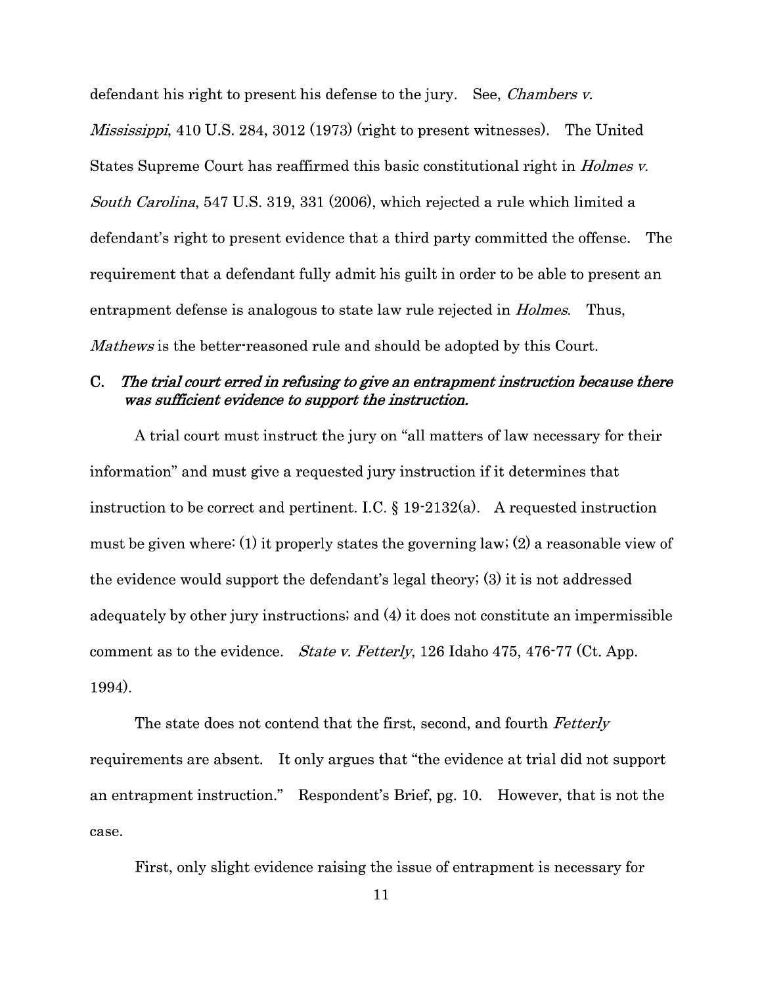defendant his right to present his defense to the jury. See, *Chambers v. Mississippi*, 410 U.S. 284, 3012 (1973) (right to present witnesses). The United States Supreme Court has reaffirmed this basic constitutional right in *Holmes v. South Carolina,* 547 U.S. 319, 331 (2006), which rejected a rule which limited a defendant's right to present evidence that a third party committed the offense. The requirement that a defendant fully admit his guilt in order to be able to present an entrapment defense is analogous to state law rule rejected in *Holmes.* Thus, *Ma thews* is the better-reasoned rule and should be adopted by this Court.

### **C.** *The trial court erred in refusing to give an entrapment instruction because there was sufficient evidence to support the instruction.*

A trial court must instruct the jury on "all matters of law necessary for their information" and must give a requested jury instruction if it determines that instruction to be correct and pertinent. I.C.  $\S 19-2132(a)$ . A requested instruction must be given where: (1) it properly states the governing law; (2) a reasonable view of the evidence would support the defendant's legal theory; (3) it is not addressed adequately by other jury instructions; and (4) it does not constitute an impermissible comment as to the evidence. *State v. Fetterly*, 126 Idaho 475, 476-77 (Ct. App. 1994).

The state does not contend that the first, second, and fourth *Fetterly*  requirements are absent. It only argues that "the evidence at trial did not support an entrapment instruction." Respondent's Brief, pg. 10. However, that is not the case.

First, only slight evidence raising the issue of entrapment is necessary for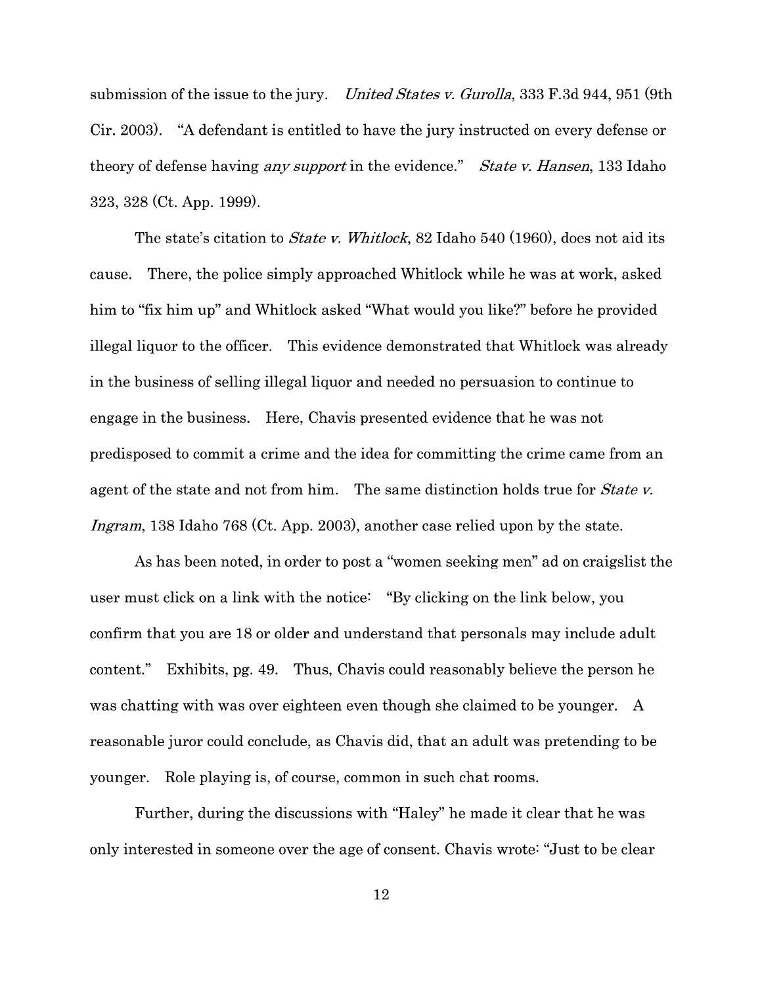submission of the issue to the jury. *United States v. Gurolla,* 333 F.3d 944, 951 (9th Cir. 2003). "A defendant is entitled to have the jury instructed on every defense or theory of defense having *any support* in the evidence." *State v. Hansen,* 133 Idaho 323, 328 (Ct. App. 1999).

The state's citation to *State v. Whitlock,* 82 Idaho 540 (1960), does not aid its cause. There, the police simply approached Whitlock while he was at work, asked him to "fix him up" and Whitlock asked "What would you like?" before he provided illegal liquor to the officer. This evidence demonstrated that Whitlock was already in the business of selling illegal liquor and needed no persuasion to continue to engage in the business. Here, Chavis presented evidence that he was not predisposed to commit a crime and the idea for committing the crime came from an agent of the state and not from him. The same distinction holds true for *State v. Ingram,* 138 Idaho 768 (Ct. App. 2003), another case relied upon by the state.

As has been noted, in order to post a "women seeking men" ad on craigslist the user must click on a link with the notice: "By clicking on the link below, you confirm that you are 18 or older and understand that personals may include adult content." Exhibits, pg. 49. Thus, Chavis could reasonably believe the person he was chatting with was over eighteen even though she claimed to be younger. A reasonable juror could conclude, as Chavis did, that an adult was pretending to be younger. Role playing is, of course, common in such chat rooms.

Further, during the discussions with "Haley" he made it clear that he was only interested in someone over the age of consent. Chavis wrote: "Just to be clear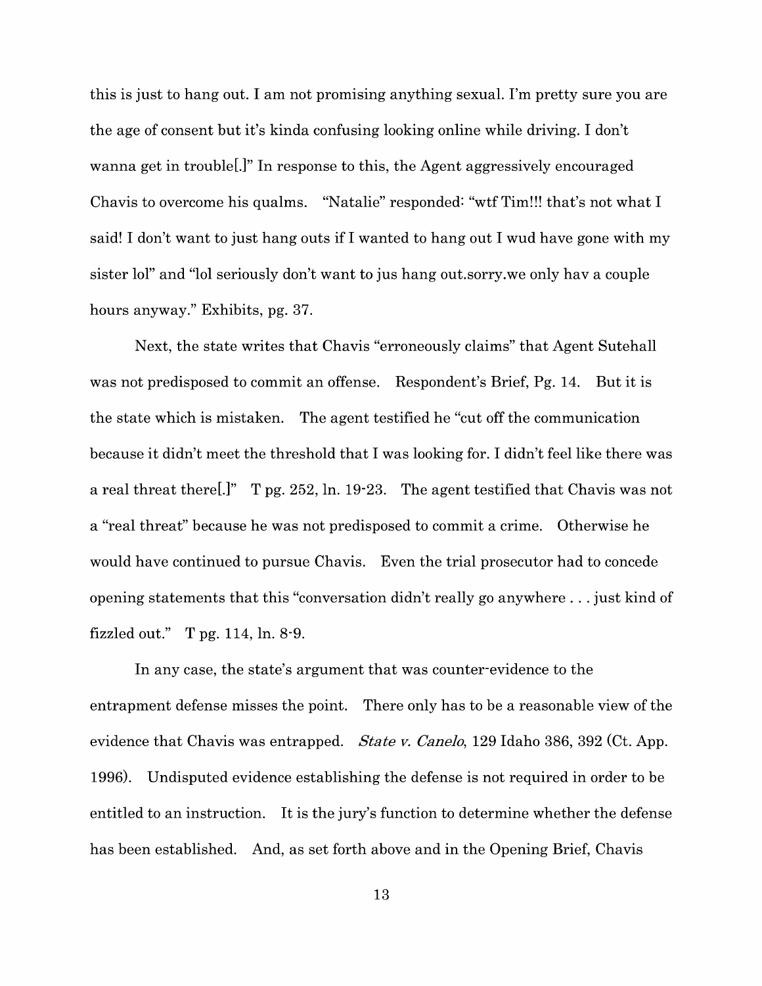this is just to hang out. I am not promising anything sexual. I'm pretty sure you are the age of consent but it's kinda confusing looking online while driving. I don't wanna get in trouble[.]" In response to this, the Agent aggressively encouraged Chavis to overcome his qualms. "Natalie" responded: "wtf Tim!!! that's not what I said! I don't want to just hang outs if I wanted to hang out I wud have gone with my sister lol" and "lol seriously don't want to jus hang out.sorry.we only hav a couple hours anyway." Exhibits, pg. 37.

Next, the state writes that Chavis "erroneously claims" that Agent Sutehall was not predisposed to commit an offense. Respondent's Brief, Pg. 14. But it is the state which is mistaken. The agent testified he "cut off the communication because it didn't meet the threshold that I was looking for. I didn't feel like there was a real threat there[.]" T pg. 252, ln. 19-23. The agent testified that Chavis was not a "real threat" because he was not predisposed to commit a crime. Otherwise he would have continued to pursue Chavis. Even the trial prosecutor had to concede opening statements that this "conversation didn't really go anywhere ... just kind of fizzled out." T pg. 114, ln. 8-9.

In any case, the state's argument that was counter-evidence to the entrapment defense misses the point. There only has to be a reasonable view of the evidence that Chavis was entrapped. *State v. Canelo,* 129 Idaho 386, 392 (Ct. App. 1996). Undisputed evidence establishing the defense is not required in order to be entitled to an instruction. It is the jury's function to determine whether the defense has been established. And, as set forth above and in the Opening Brief, Chavis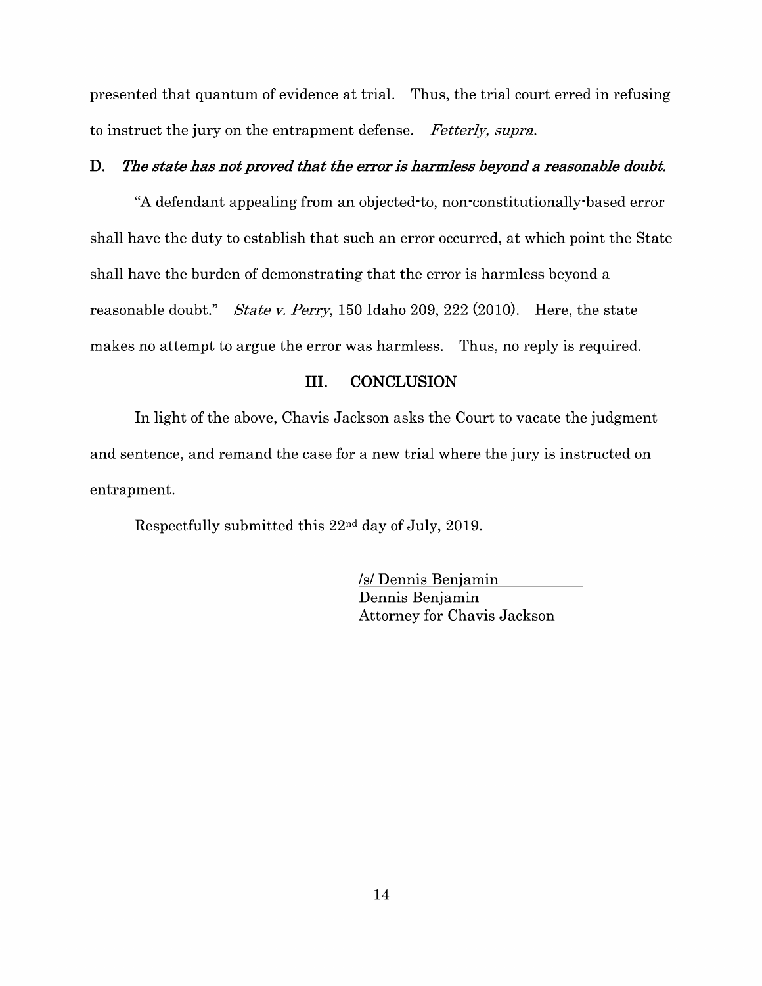presented that quantum of evidence at trial. Thus, the trial court erred in refusing to instruct the jury on the entrapment defense. *Fetterly, supra.* 

#### **D.** *The state has not proved that the error is harmless beyond a reasonable doubt.*

"A defendant appealing from an objected-to, non-constitutionally-based error shall have the duty to establish that such an error occurred, at which point the State shall have the burden of demonstrating that the error is harmless beyond a reasonable doubt." *State v. Perry,* 150 Idaho 209, 222 (2010). Here, the state makes no attempt to argue the error was harmless. Thus, no reply is required.

#### III. **CONCLUSION**

In light of the above, Chavis Jackson asks the Court to vacate the judgment and sentence, and remand the case for a new trial where the jury is instructed on entrapment.

Respectfully submitted this 22nd day of July, 2019.

Isl Dennis Benjamin Dennis Benjamin Attorney for Chavis Jackson